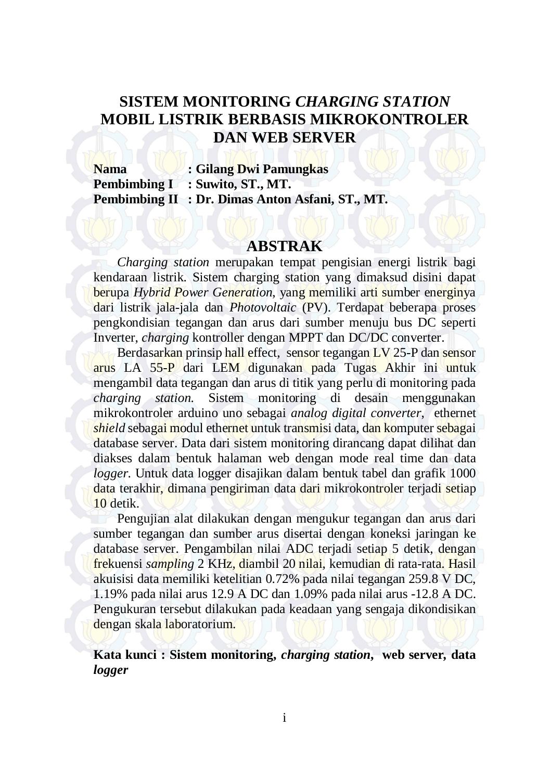## **SISTEM MONITORING** *CHARGING STATION* **MOBIL LISTRIK BERBASIS MIKROKONTROLER DAN WEB SERVER**

**Nama : Gilang Dwi Pamungkas Pembimbing I : Suwito, ST., MT. Pembimbing II : Dr. Dimas Anton Asfani, ST., MT.** 

## **ABSTRAK**

*Charging station* merupakan tempat pengisian energi listrik bagi kendaraan listrik. Sistem charging station yang dimaksud disini dapat berupa *Hybrid Power Generation*, yang memiliki arti sumber energinya dari listrik jala-jala dan *Photovoltaic* (PV). Terdapat beberapa proses pengkondisian tegangan dan arus dari sumber menuju bus DC seperti Inverter, *charging* kontroller dengan MPPT dan DC/DC converter.

Berdasarkan prinsip hall effect, sensor tegangan LV 25-P dan sensor arus LA 55-P dari LEM digunakan pada Tugas Akhir ini untuk mengambil data tegangan dan arus di titik yang perlu di monitoring pada *charging station*. Sistem monitoring di desain menggunakan mikrokontroler arduino uno sebagai *analog digital converter*, ethernet *shield* sebagai modul ethernet untuk transmisi data, dan komputer sebagai database server. Data dari sistem monitoring dirancang dapat dilihat dan diakses dalam bentuk halaman web dengan mode real time dan data *logger*. Untuk data logger disajikan dalam bentuk tabel dan grafik 1000 data terakhir, dimana pengiriman data dari mikrokontroler terjadi setiap 10 detik.

Pengujian alat dilakukan dengan mengukur tegangan dan arus dari sumber tegangan dan sumber arus disertai dengan koneksi jaringan ke database server. Pengambilan nilai ADC terjadi setiap 5 detik, dengan frekuensi *sampling* 2 KHz, diambil 20 nilai, kemudian di rata-rata. Hasil akuisisi data memiliki ketelitian 0.72% pada nilai tegangan 259.8 V DC, 1.19% pada nilai arus 12.9 A DC dan 1.09% pada nilai arus -12.8 A DC. Pengukuran tersebut dilakukan pada keadaan yang sengaja dikondisikan dengan skala laboratorium.

**Kata kunci : Sistem monitoring,** *charging station***, web server***,* **data**  *logger*